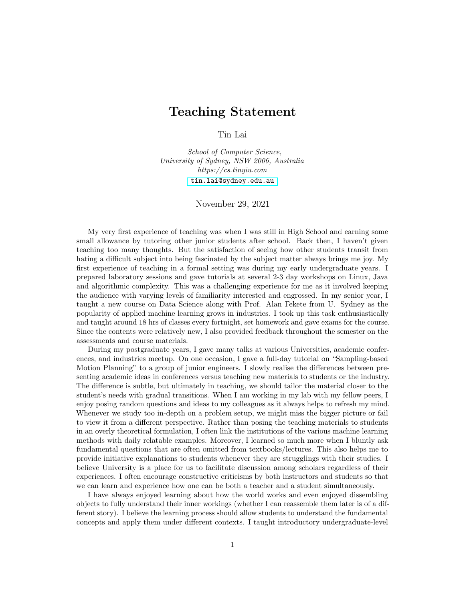## Teaching Statement

Tin Lai

School of Computer Science, University of Sydney, NSW 2006, Australia https://cs.tinyiu.com [tin.lai@sydney.edu.au](mailto:tin.lai@sydney.edu.au)

November 29, 2021

My very first experience of teaching was when I was still in High School and earning some small allowance by tutoring other junior students after school. Back then, I haven't given teaching too many thoughts. But the satisfaction of seeing how other students transit from hating a difficult subject into being fascinated by the subject matter always brings me joy. My first experience of teaching in a formal setting was during my early undergraduate years. I prepared laboratory sessions and gave tutorials at several 2-3 day workshops on Linux, Java and algorithmic complexity. This was a challenging experience for me as it involved keeping the audience with varying levels of familiarity interested and engrossed. In my senior year, I taught a new course on Data Science along with Prof. Alan Fekete from U. Sydney as the popularity of applied machine learning grows in industries. I took up this task enthusiastically and taught around 18 hrs of classes every fortnight, set homework and gave exams for the course. Since the contents were relatively new, I also provided feedback throughout the semester on the assessments and course materials.

During my postgraduate years, I gave many talks at various Universities, academic conferences, and industries meetup. On one occasion, I gave a full-day tutorial on "Sampling-based Motion Planning" to a group of junior engineers. I slowly realise the differences between presenting academic ideas in conferences versus teaching new materials to students or the industry. The difference is subtle, but ultimately in teaching, we should tailor the material closer to the student's needs with gradual transitions. When I am working in my lab with my fellow peers, I enjoy posing random questions and ideas to my colleagues as it always helps to refresh my mind. Whenever we study too in-depth on a problem setup, we might miss the bigger picture or fail to view it from a different perspective. Rather than posing the teaching materials to students in an overly theoretical formulation, I often link the institutions of the various machine learning methods with daily relatable examples. Moreover, I learned so much more when I bluntly ask fundamental questions that are often omitted from textbooks/lectures. This also helps me to provide initiative explanations to students whenever they are strugglings with their studies. I believe University is a place for us to facilitate discussion among scholars regardless of their experiences. I often encourage constructive criticisms by both instructors and students so that we can learn and experience how one can be both a teacher and a student simultaneously.

I have always enjoyed learning about how the world works and even enjoyed dissembling objects to fully understand their inner workings (whether I can reassemble them later is of a different story). I believe the learning process should allow students to understand the fundamental concepts and apply them under different contexts. I taught introductory undergraduate-level